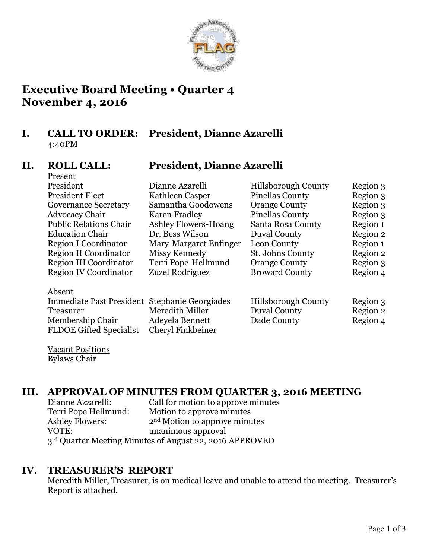

## **Executive Board Meeting • Quarter 4 November 4, 2016**

### **I. CALL TO ORDER: President, Dianne Azarelli** 4:40PM

Present

## **II. ROLL CALL: President, Dianne Azarelli**

| President                                     | Dianne Azarelli        | <b>Hillsborough County</b> | Region 3 |
|-----------------------------------------------|------------------------|----------------------------|----------|
| <b>President Elect</b>                        | Kathleen Casper        | <b>Pinellas County</b>     | Region 3 |
| <b>Governance Secretary</b>                   | Samantha Goodowens     | <b>Orange County</b>       | Region 3 |
| <b>Advocacy Chair</b>                         | Karen Fradley          | <b>Pinellas County</b>     | Region 3 |
| <b>Public Relations Chair</b>                 | Ashley Flowers-Hoang   | Santa Rosa County          | Region 1 |
| <b>Education Chair</b>                        | Dr. Bess Wilson        | Duval County               | Region 2 |
| Region I Coordinator                          | Mary-Margaret Enfinger | Leon County                | Region 1 |
| Region II Coordinator                         | Missy Kennedy          | St. Johns County           | Region 2 |
| Region III Coordinator                        | Terri Pope-Hellmund    | <b>Orange County</b>       | Region 3 |
| <b>Region IV Coordinator</b>                  | Zuzel Rodriguez        | <b>Broward County</b>      | Region 4 |
| Absent                                        |                        |                            |          |
| Immediate Past President Stephanie Georgiades |                        | <b>Hillsborough County</b> | Region 3 |
| <b>Treasurer</b>                              | Meredith Miller        | Duval County               | Region 2 |
| Membership Chair                              | Adevela Bennett        | Dade County                | Region 4 |

Vacant Positions Bylaws Chair

## **III. APPROVAL OF MINUTES FROM QUARTER 3, 2016 MEETING**

| Dianne Azzarelli:                                       | Call for motion to approve minutes        |  |  |  |
|---------------------------------------------------------|-------------------------------------------|--|--|--|
| Terri Pope Hellmund:                                    | Motion to approve minutes                 |  |  |  |
| <b>Ashley Flowers:</b>                                  | 2 <sup>nd</sup> Motion to approve minutes |  |  |  |
| VOTE:                                                   | unanimous approval                        |  |  |  |
| 3rd Quarter Meeting Minutes of August 22, 2016 APPROVED |                                           |  |  |  |

FLDOE Gifted Specialist Cheryl Finkbeiner

### **IV. TREASURER'S REPORT**

Meredith Miller, Treasurer, is on medical leave and unable to attend the meeting. Treasurer's Report is attached.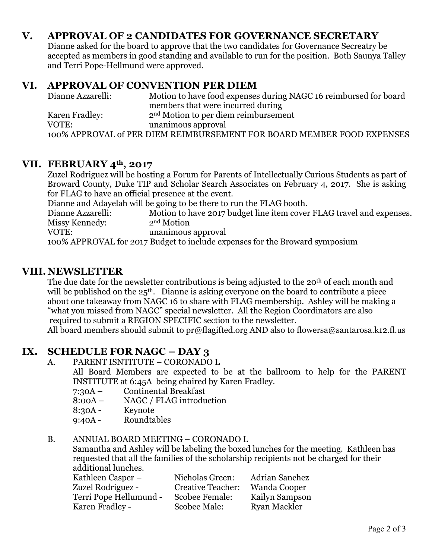## **V. APPROVAL OF 2 CANDIDATES FOR GOVERNANCE SECRETARY**

Dianne asked for the board to approve that the two candidates for Governance Secreatry be accepted as members in good standing and available to run for the position. Both Saunya Talley and Terri Pope-Hellmund were approved.

#### **VI. APPROVAL OF CONVENTION PER DIEM**

| Dianne Azzarelli: | Motion to have food expenses during NAGC 16 reimbursed for board       |
|-------------------|------------------------------------------------------------------------|
|                   | members that were incurred during                                      |
| Karen Fradley:    | $2nd Motion to per diem reinbursement$                                 |
| VOTE:             | unanimous approval                                                     |
|                   | 100% APPROVAL of PER DIEM REIMBURSEMENT FOR BOARD MEMBER FOOD EXPENSES |

#### **VII. FEBRUARY 4th, 2017**

Zuzel Rodriguez will be hosting a Forum for Parents of Intellectually Curious Students as part of Broward County, Duke TIP and Scholar Search Associates on February 4, 2017. She is asking for FLAG to have an official presence at the event.

Dianne and Adayelah will be going to be there to run the FLAG booth.

Dianne Azzarelli: Motion to have 2017 budget line item cover FLAG travel and expenses. Missy Kennedy: 2<sup>nd</sup> Motion VOTE: unanimous approval

100% APPROVAL for 2017 Budget to include expenses for the Broward symposium

#### **VIII. NEWSLETTER**

The due date for the newsletter contributions is being adjusted to the 20<sup>th</sup> of each month and will be published on the  $25<sup>th</sup>$ . Dianne is asking everyone on the board to contribute a piece about one takeaway from NAGC 16 to share with FLAG membership. Ashley will be making a "what you missed from NAGC" special newsletter. All the Region Coordinators are also required to submit a REGION SPECIFIC section to the newsletter.

All board members should submit to pr@flagifted.org AND also to flowersa@santarosa.k12.fl.us

### **IX. SCHEDULE FOR NAGC – DAY 3**

A. PARENT ISNTITUTE – CORONADO L

All Board Members are expected to be at the ballroom to help for the PARENT INSTITUTE at 6:45A being chaired by Karen Fradley.

- 7:30A Continental Breakfast
- 8:00A NAGC / FLAG introduction
- 8:30A Keynote
- 9:40A Roundtables

#### B. ANNUAL BOARD MEETING – CORONADO L

Samantha and Ashley will be labeling the boxed lunches for the meeting. Kathleen has requested that all the families of the scholarship recipients not be charged for their additional lunches.

| Kathleen Casper –      | Nicholas Green:          | <b>Adrian Sanchez</b> |
|------------------------|--------------------------|-----------------------|
| Zuzel Rodriguez -      | <b>Creative Teacher:</b> | <b>Wanda Cooper</b>   |
| Terri Pope Hellumund - | Scobee Female:           | Kailyn Sampson        |
| Karen Fradley -        | Scobee Male:             | <b>Ryan Mackler</b>   |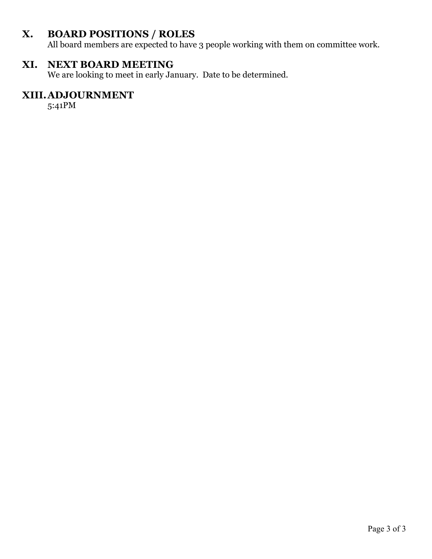## **X. BOARD POSITIONS / ROLES**

All board members are expected to have 3 people working with them on committee work.

## **XI. NEXT BOARD MEETING**

We are looking to meet in early January. Date to be determined.

## **XIII.ADJOURNMENT**

5:41PM